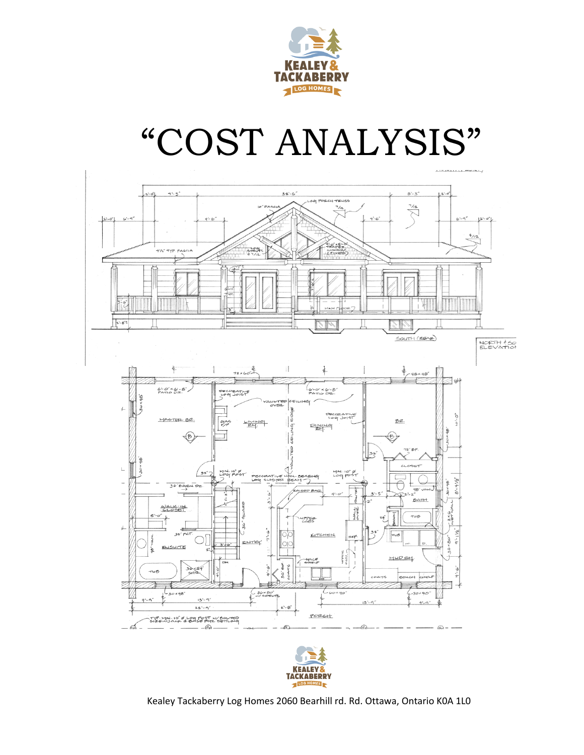

# "COST ANALYSIS"



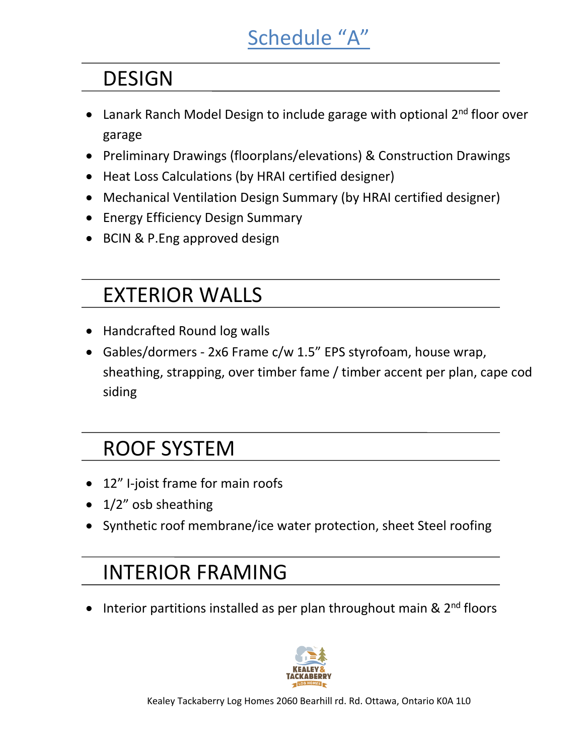# Schedule "A"

## DESIGN

- Lanark Ranch Model Design to include garage with optional  $2^{nd}$  floor over garage
- Preliminary Drawings (floorplans/elevations) & Construction Drawings
- Heat Loss Calculations (by HRAI certified designer)
- Mechanical Ventilation Design Summary (by HRAI certified designer)
- Energy Efficiency Design Summary
- BCIN & P.Eng approved design

# EXTERIOR WALLS

- Handcrafted Round log walls
- Gables/dormers 2x6 Frame c/w 1.5" EPS styrofoam, house wrap, sheathing, strapping, over timber fame / timber accent per plan, cape cod siding

## ROOF SYSTEM

- 12" I-joist frame for main roofs
- $\bullet$  1/2" osb sheathing
- Synthetic roof membrane/ice water protection, sheet Steel roofing

## **INTERIOR FRAMING**

• Interior partitions installed as per plan throughout main &  $2<sup>nd</sup>$  floors

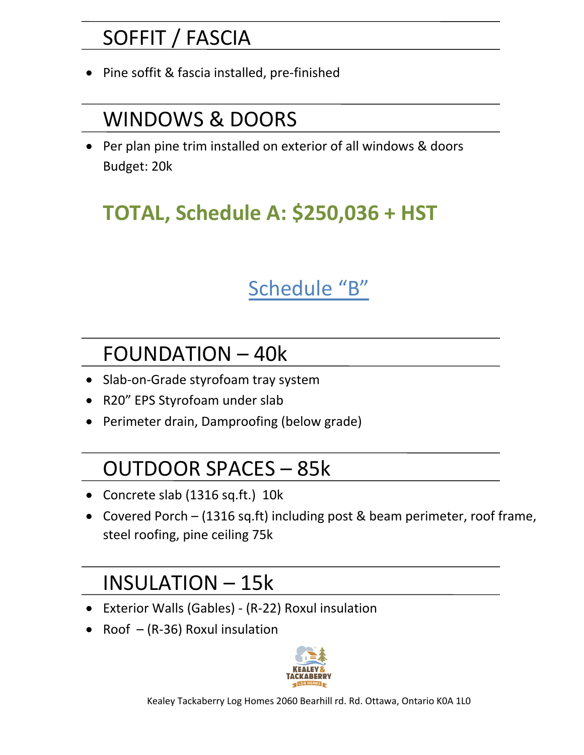## SOFFIT / FASCIA

Pine soffit & fascia installed, pre-finished

#### WINDOWS & DOORS

• Per plan pine trim installed on exterior of all windows & doors Budget: 20k

## **TOTAL, Schedule A: \$250,036 + HST**

## Schedule "B"

## FOUNDATION - 40k

- Slab-on-Grade styrofoam tray system
- R20" EPS Styrofoam under slab
- Perimeter drain, Damproofing (below grade)

## OUTDOOR SPACES - 85k

- Concrete slab (1316 sq.ft.) 10k
- Covered Porch (1316 sq.ft) including post & beam perimeter, roof frame, steel roofing, pine ceiling 75k

## INSULATION – 15k

- Exterior Walls (Gables) (R-22) Roxul insulation
- Roof  $-(R-36)$  Roxul insulation

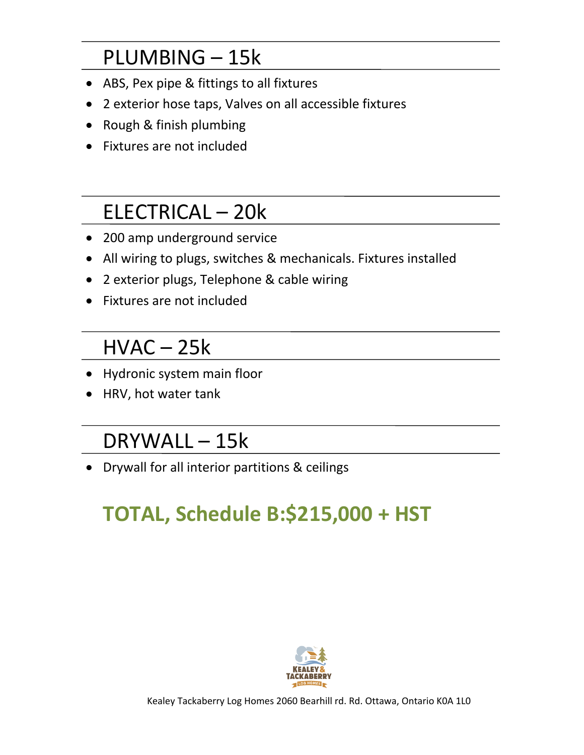## PLUMBING - 15k

- ABS, Pex pipe & fittings to all fixtures
- 2 exterior hose taps, Valves on all accessible fixtures
- Rough & finish plumbing
- Fixtures are not included

## ELECTRICAL - 20k

- 200 amp underground service
- All wiring to plugs, switches & mechanicals. Fixtures installed
- 2 exterior plugs, Telephone & cable wiring
- Fixtures are not included

#### $HVAC - 25k$

- Hydronic system main floor
- HRV, hot water tank

#### DRYWALL - 15k

• Drywall for all interior partitions & ceilings

# **TOTAL, Schedule B:\$215,000 + HST**

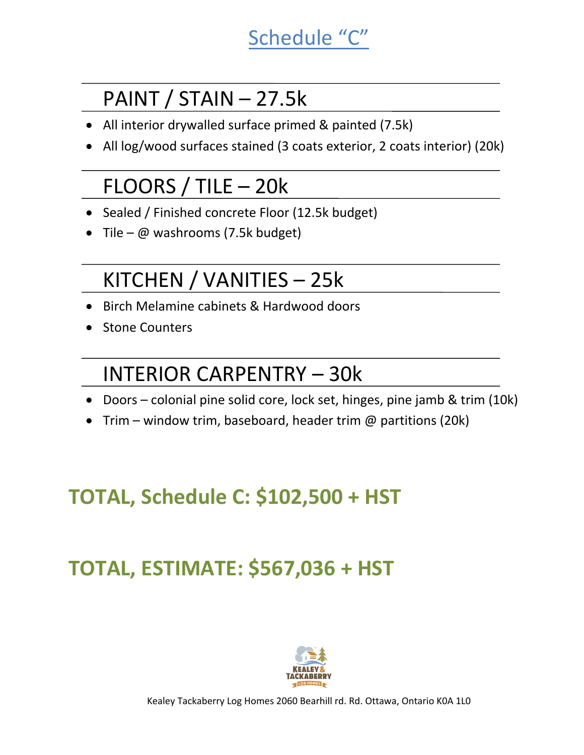## Schedule "C"

## PAINT /  $STAIN - 27.5k$

- All interior drywalled surface primed & painted (7.5k)
- All log/wood surfaces stained (3 coats exterior, 2 coats interior) (20k)

## $FLOORS / TILE - 20k$

- Sealed / Finished concrete Floor (12.5k budget)
- Tile  $\omega$  washrooms (7.5k budget)

## KITCHEN / VANITIES - 25k

- Birch Melamine cabinets & Hardwood doors
- Stone Counters

## INTERIOR CARPENTRY – 30k

- Doors colonial pine solid core, lock set, hinges, pine jamb & trim (10k)
- Trim window trim, baseboard, header trim  $\omega$  partitions (20k)

# **TOTAL, Schedule C: \$102,500 + HST**

# **TOTAL, ESTIMATE: \$567,036 + HST**